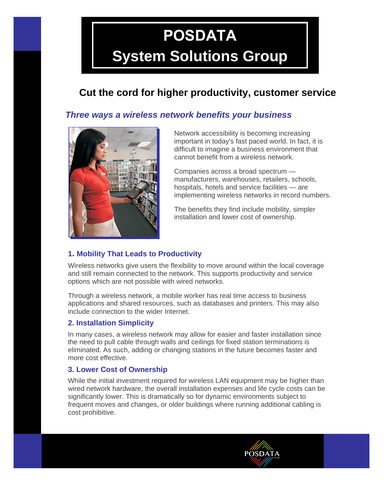# **POSDATA**

## **System Solutions Group**

### **Cut the cord for higher productivity, customer service**

#### *Three ways a wireless network benefits your business*



Network accessibility is becoming increasing important in today's fast paced world. In fact, it is difficult to imagine a business environment that cannot benefit from a wireless network.

Companies across a broad spectrum manufacturers, warehouses, retailers, schools, hospitals, hotels and service facilities — are implementing wireless networks in record numbers.

**POSDATA** 

The benefits they find include mobility, simpler installation and lower cost of ownership.

#### **1. Mobility That Leads to Productivity**

Wireless networks give users the flexibility to move around within the local coverage and still remain connected to the network. This supports productivity and service options which are not possible with wired networks.

Through a wireless network, a mobile worker has real time access to business applications and shared resources, such as databases and printers. This may also include connection to the wider Internet.

#### **2. Installation Simplicity**

In many cases, a wireless network may allow for easier and faster installation since the need to pull cable through walls and ceilings for fixed station terminations is eliminated. As such, adding or changing stations in the future becomes faster and more cost effective.

#### **3. Lower Cost of Ownership**

While the initial investment required for wireless LAN equipment may be higher than wired network hardware, the overall installation expenses and life cycle costs can be significantly lower. This is dramatically so for dynamic environments subject to frequent moves and changes, or older buildings where running additional cabling is cost prohibitive.